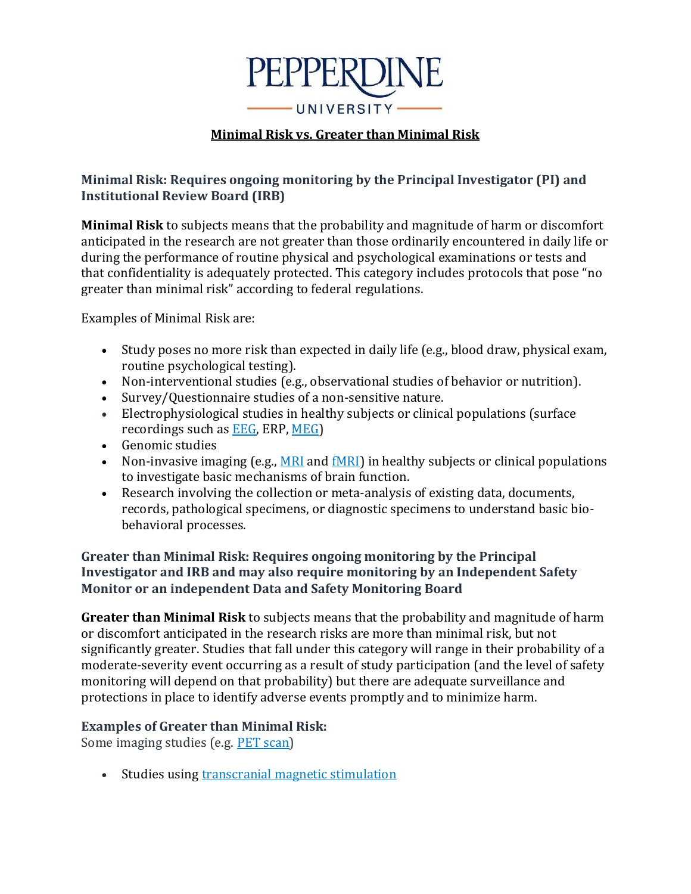

## **Minimal Risk vs. Greater than Minimal Risk**

## **Minimal Risk: Requires ongoing monitoring by the Principal Investigator (PI) and Institutional Review Board (IRB)**

**Minimal Risk** to subjects means that the probability and magnitude of harm or discomfort anticipated in the research are not greater than those ordinarily encountered in daily life or during the performance of routine physical and psychological examinations or tests and that confidentiality is adequately protected. This category includes protocols that pose "no greater than minimal risk" according to federal regulations.

Examples of Minimal Risk are:

- Study poses no more risk than expected in daily life (e.g., blood draw, physical exam, routine psychological testing).
- Non-interventional studies (e.g., observational studies of behavior or nutrition).
- Survey/Questionnaire studies of a non-sensitive nature.
- Electrophysiological studies in healthy subjects or clinical populations (surface recordings such as **EEG**, ERP, [MEG\)](http://www.ninds.nih.gov/disorders/epilepsy/detail_epilepsy.htm#263053109)
- Genomic studies
- Non-invasive imaging (e.g., [MRI](http://www.nlm.nih.gov/medlineplus/mriscans.html) and  $f(M)$  in healthy subjects or clinical populations to investigate basic mechanisms of brain function.
- Research involving the collection or meta-analysis of existing data, documents, records, pathological specimens, or diagnostic specimens to understand basic biobehavioral processes.

## **Greater than Minimal Risk: Requires ongoing monitoring by the Principal Investigator and IRB and may also require monitoring by an Independent Safety Monitor or an independent Data and Safety Monitoring Board**

**Greater than Minimal Risk** to subjects means that the probability and magnitude of harm or discomfort anticipated in the research risks are more than minimal risk, but not significantly greater. Studies that fall under this category will range in their probability of a moderate-severity event occurring as a result of study participation (and the level of safety monitoring will depend on that probability) but there are adequate surveillance and protections in place to identify adverse events promptly and to minimize harm.

## **Examples of Greater than Minimal Risk:**

Some imaging studies (e.g. [PET scan\)](http://www.nlm.nih.gov/medlineplus/ency/article/003827.htm)

• Studies using [transcranial magnetic stimulation](https://www.nimh.nih.gov/health/topics/brain-stimulation-therapies/brain-stimulation-therapies.shtml)